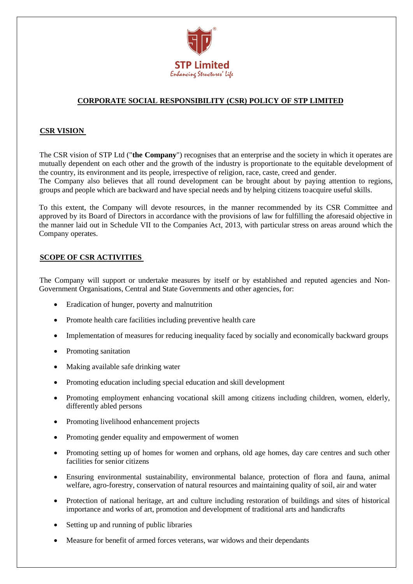

# **CORPORATE SOCIAL RESPONSIBILITY (CSR) POLICY OF STP LIMITED**

## **CSR VISION**

The CSR vision of STP Ltd ("**the Company**") recognises that an enterprise and the society in which it operates are mutually dependent on each other and the growth of the industry is proportionate to the equitable development of the country, its environment and its people, irrespective of religion, race, caste, creed and gender. The Company also believes that all round development can be brought about by paying attention to regions, groups and people which are backward and have special needs and by helping citizens toacquire useful skills.

To this extent, the Company will devote resources, in the manner recommended by its CSR Committee and approved by its Board of Directors in accordance with the provisions of law for fulfilling the aforesaid objective in the manner laid out in Schedule VII to the Companies Act, 2013, with particular stress on areas around which the Company operates.

### **SCOPE OF CSR ACTIVITIES**

The Company will support or undertake measures by itself or by established and reputed agencies and Non-Government Organisations, Central and State Governments and other agencies, for:

- Eradication of hunger, poverty and malnutrition
- Promote health care facilities including preventive health care
- Implementation of measures for reducing inequality faced by socially and economically backward groups
- Promoting sanitation
- Making available safe drinking water
- Promoting education including special education and skill development
- Promoting employment enhancing vocational skill among citizens including children, women, elderly, differently abled persons
- Promoting livelihood enhancement projects
- Promoting gender equality and empowerment of women
- Promoting setting up of homes for women and orphans, old age homes, day care centres and such other facilities for senior citizens
- Ensuring environmental sustainability, environmental balance, protection of flora and fauna, animal welfare, agro-forestry, conservation of natural resources and maintaining quality of soil, air and water
- Protection of national heritage, art and culture including restoration of buildings and sites of historical importance and works of art, promotion and development of traditional arts and handicrafts
- Setting up and running of public libraries
- Measure for benefit of armed forces veterans, war widows and their dependants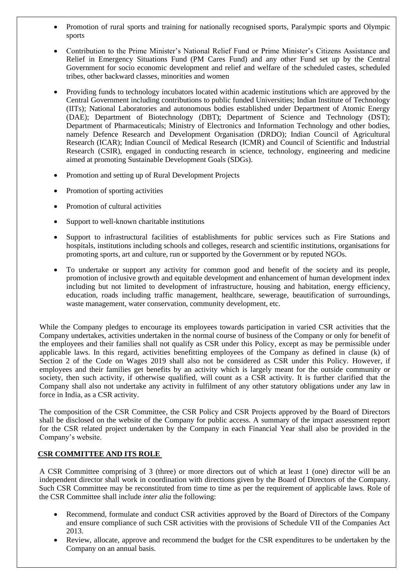- Promotion of rural sports and training for nationally recognised sports, Paralympic sports and Olympic sports
- Contribution to the Prime Minister's National Relief Fund or Prime Minister's Citizens Assistance and Relief in Emergency Situations Fund (PM Cares Fund) and any other Fund set up by the Central Government for socio economic development and relief and welfare of the scheduled castes, scheduled tribes, other backward classes, minorities and women
- Providing funds to technology incubators located within academic institutions which are approved by the Central Government including contributions to public funded Universities; Indian Institute of Technology (IITs); National Laboratories and autonomous bodies established under Department of Atomic Energy (DAE); Department of Biotechnology (DBT); Department of Science and Technology (DST); Department of Pharmaceuticals; Ministry of Electronics and Information Technology and other bodies, namely Defence Research and Development Organisation (DRDO); Indian Council of Agricultural Research (ICAR); Indian Council of Medical Research (ICMR) and Council of Scientific and Industrial Research (CSIR), engaged in conducting research in science, technology, engineering and medicine aimed at promoting Sustainable Development Goals (SDGs).
- Promotion and setting up of Rural Development Projects
- Promotion of sporting activities
- Promotion of cultural activities
- Support to well-known charitable institutions
- Support to infrastructural facilities of establishments for public services such as Fire Stations and hospitals, institutions including schools and colleges, research and scientific institutions, organisations for promoting sports, art and culture, run or supported by the Government or by reputed NGOs.
- To undertake or support any activity for common good and benefit of the society and its people, promotion of inclusive growth and equitable development and enhancement of human development index including but not limited to development of infrastructure, housing and habitation, energy efficiency, education, roads including traffic management, healthcare, sewerage, beautification of surroundings, waste management, water conservation, community development, etc.

While the Company pledges to encourage its employees towards participation in varied CSR activities that the Company undertakes, activities undertaken in the normal course of business of the Company or only for benefit of the employees and their families shall not qualify as CSR under this Policy, except as may be permissible under applicable laws. In this regard, activities benefitting employees of the Company as defined in clause (k) of Section 2 of the Code on Wages 2019 shall also not be considered as CSR under this Policy. However, if employees and their families get benefits by an activity which is largely meant for the outside community or society, then such activity, if otherwise qualified, will count as a CSR activity. It is further clarified that the Company shall also not undertake any activity in fulfilment of any other statutory obligations under any law in force in India, as a CSR activity.

The composition of the CSR Committee, the CSR Policy and CSR Projects approved by the Board of Directors shall be disclosed on the website of the Company for public access. A summary of the impact assessment report for the CSR related project undertaken by the Company in each Financial Year shall also be provided in the Company's website.

## **CSR COMMITTEE AND ITS ROLE**

A CSR Committee comprising of 3 (three) or more directors out of which at least 1 (one) director will be an independent director shall work in coordination with directions given by the Board of Directors of the Company. Such CSR Committee may be reconstituted from time to time as per the requirement of applicable laws. Role of the CSR Committee shall include *inter alia* the following:

- Recommend, formulate and conduct CSR activities approved by the Board of Directors of the Company and ensure compliance of such CSR activities with the provisions of Schedule VII of the Companies Act 2013.
- Review, allocate, approve and recommend the budget for the CSR expenditures to be undertaken by the Company on an annual basis.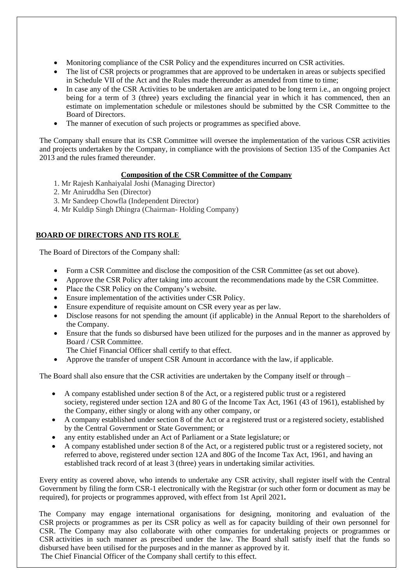- Monitoring compliance of the CSR Policy and the expenditures incurred on CSR activities.
- The list of CSR projects or programmes that are approved to be undertaken in areas or subjects specified in Schedule VII of the Act and the Rules made thereunder as amended from time to time;
- In case any of the CSR Activities to be undertaken are anticipated to be long term i.e., an ongoing project being for a term of 3 (three) years excluding the financial year in which it has commenced, then an estimate on implementation schedule or milestones should be submitted by the CSR Committee to the Board of Directors.
- The manner of execution of such projects or programmes as specified above.

The Company shall ensure that its CSR Committee will oversee the implementation of the various CSR activities and projects undertaken by the Company, in compliance with the provisions of Section 135 of the Companies Act 2013 and the rules framed thereunder.

### **Composition of the CSR Committee of the Company**

- 1. Mr Rajesh Kanhaiyalal Joshi (Managing Director)
- 2. Mr Aniruddha Sen (Director)
- 3. Mr Sandeep Chowfla (Independent Director)
- 4. Mr Kuldip Singh Dhingra (Chairman- Holding Company)

## **BOARD OF DIRECTORS AND ITS ROLE**

The Board of Directors of the Company shall:

- Form a CSR Committee and disclose the composition of the CSR Committee (as set out above).
- Approve the CSR Policy after taking into account the recommendations made by the CSR Committee.
- Place the CSR Policy on the Company's website.
- Ensure implementation of the activities under CSR Policy.
- Ensure expenditure of requisite amount on CSR every year as per law.
- Disclose reasons for not spending the amount (if applicable) in the Annual Report to the shareholders of the Company.
- Ensure that the funds so disbursed have been utilized for the purposes and in the manner as approved by Board / CSR Committee.

The Chief Financial Officer shall certify to that effect.

• Approve the transfer of unspent CSR Amount in accordance with the law, if applicable.

The Board shall also ensure that the CSR activities are undertaken by the Company itself or through –

- A company established under section 8 of the Act, or a registered public trust or a registered society, registered under section 12A and 80 G of the Income Tax Act, 1961 (43 of 1961), established by the Company, either singly or along with any other company, or
- A company established under section 8 of the Act or a registered trust or a registered society, established by the Central Government or State Government; or
- any entity established under an Act of Parliament or a State legislature; or
- A company established under section 8 of the Act, or a registered public trust or a registered society, not referred to above, registered under section 12A and 80G of the Income Tax Act, 1961, and having an established track record of at least 3 (three) years in undertaking similar activities.

Every entity as covered above, who intends to undertake any CSR activity, shall register itself with the Central Government by filing the form CSR-1 electronically with the Registrar (or such other form or document as may be required), for projects or programmes approved, with effect from 1st April 2021**.**

The Company may engage international organisations for designing, monitoring and evaluation of the CSR projects or programmes as per its CSR policy as well as for capacity building of their own personnel for CSR. The Company may also collaborate with other companies for undertaking projects or programmes or CSR activities in such manner as prescribed under the law. The Board shall satisfy itself that the funds so disbursed have been utilised for the purposes and in the manner as approved by it. The Chief Financial Officer of the Company shall certify to this effect.